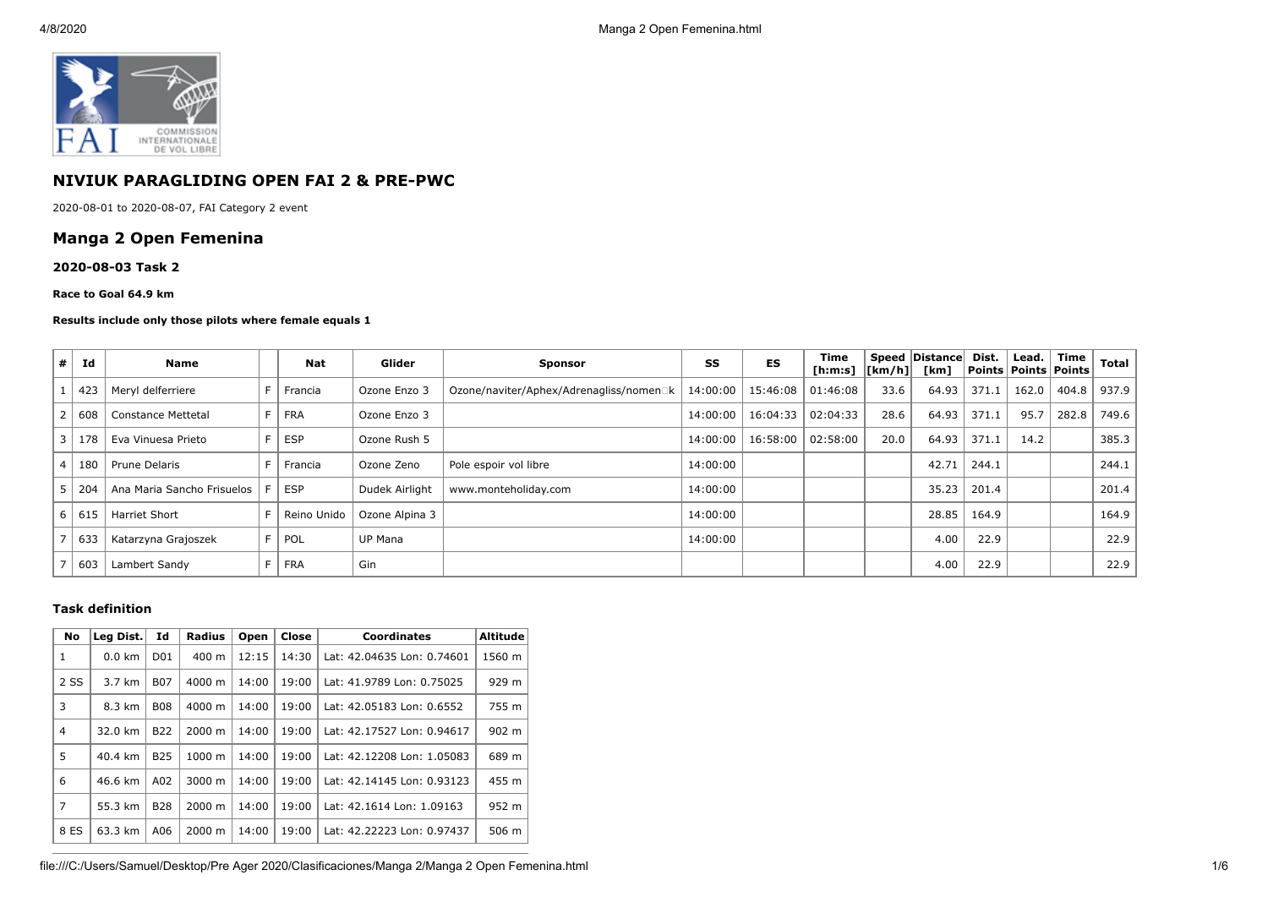

# **NIVIUK PARAGLIDING OPEN FAI 2 & PRE-PWC**

2020-08-01 to 2020-08-07, FAI Category 2 event

## **Manga 2 Open Femenina**

#### **2020-08-03 Task 2**

#### **Race to Goal 64.9 km**

#### **Results include only those pilots where female equals 1**

| #              | Id  | <b>Name</b>                |     | <b>Nat</b>  | Glider         | <b>Sponsor</b>                          | SS       | ES                  | Time<br>[ h: m: s]   [ km/h] |      | Speed Distance<br>[km] | Dist. | Lead.<br>  Points   Points   Points | Time  | <b>Total</b> |
|----------------|-----|----------------------------|-----|-------------|----------------|-----------------------------------------|----------|---------------------|------------------------------|------|------------------------|-------|-------------------------------------|-------|--------------|
|                | 423 | Meryl delferriere          | F.  | Francia     | Ozone Enzo 3   | Ozone/naviter/Aphex/Adrenagliss/nomen□k | 14:00:00 | 15:46:08 01:46:08   |                              | 33.6 | 64.93                  | 371.1 | 162.0                               | 404.8 | 937.9        |
|                | 608 | <b>Constance Mettetal</b>  |     | <b>FRA</b>  | Ozone Enzo 3   |                                         | 14:00:00 | 16:04:33            | 02:04:33                     | 28.6 | 64.93                  | 371.1 | 95.7                                | 282.8 | 749.6        |
| 3              | 178 | Eva Vinuesa Prieto         | F.  | <b>ESP</b>  | Ozone Rush 5   |                                         | 14:00:00 | 16:58:00   02:58:00 |                              | 20.0 | 64.93                  | 371.1 | 14.2                                |       | 385.3        |
| $\overline{4}$ | 180 | Prune Delaris              |     | Francia     | Ozone Zeno     | Pole espoir vol libre                   | 14:00:00 |                     |                              |      | 42.71                  | 244.1 |                                     |       | 244.1        |
| 5              | 204 | Ana Maria Sancho Frisuelos |     | <b>ESP</b>  | Dudek Airlight | www.monteholiday.com                    | 14:00:00 |                     |                              |      | 35.23                  | 201.4 |                                     |       | 201.4        |
| 6              | 615 | <b>Harriet Short</b>       |     | Reino Unido | Ozone Alpina 3 |                                         | 14:00:00 |                     |                              |      | 28.85                  | 164.9 |                                     |       | 164.9        |
|                | 633 | Katarzyna Grajoszek        | F I | POL         | <b>UP Mana</b> |                                         | 14:00:00 |                     |                              |      | 4.00                   | 22.9  |                                     |       | 22.9         |
|                | 603 | Lambert Sandy              | F.  | FRA         | Gin            |                                         |          |                     |                              |      | 4.00                   | 22.9  |                                     |       | 22.9         |

### **Task definition**

| <b>No</b>      | Leg Dist.        | Id               | <b>Radius</b>      | Open  | Close | <b>Coordinates</b>         | <b>Altitude</b> |
|----------------|------------------|------------------|--------------------|-------|-------|----------------------------|-----------------|
| 1              | $0.0 \text{ km}$ | D <sub>0</sub> 1 | $400 \text{ m}$    | 12:15 | 14:30 | Lat: 42.04635 Lon: 0.74601 | 1560 m          |
| 2 SS           | 3.7 km           | <b>B07</b>       | 4000 m             | 14:00 | 19:00 | Lat: 41.9789 Lon: 0.75025  | 929 m           |
| 3              | 8.3 km           | <b>B08</b>       | $4000 \; \text{m}$ | 14:00 | 19:00 | Lat: 42.05183 Lon: 0.6552  | 755 m           |
| $\overline{4}$ | 32.0 km          | <b>B22</b>       | $2000 \; \text{m}$ | 14:00 | 19:00 | Lat: 42.17527 Lon: 0.94617 | 902 m           |
| 5              | 40.4 km          | <b>B25</b>       | 1000 m             | 14:00 | 19:00 | Lat: 42.12208 Lon: 1.05083 | 689 m           |
| 6              | 46.6 km          | A02              | 3000 m             | 14:00 | 19:00 | Lat: 42.14145 Lon: 0.93123 | 455 m           |
| $\overline{7}$ | 55.3 km          | <b>B28</b>       | 2000 m             | 14:00 | 19:00 | Lat: 42.1614 Lon: 1.09163  | 952 m           |
| 8 ES           | 63.3 km          | A06              | $2000 \; \text{m}$ | 14:00 | 19:00 | Lat: 42.22223 Lon: 0.97437 | 506 m           |

file:///C:/Users/Samuel/Desktop/Pre Ager 2020/Clasificaciones/Manga 2/Manga 2 Open Femenina.html 1/6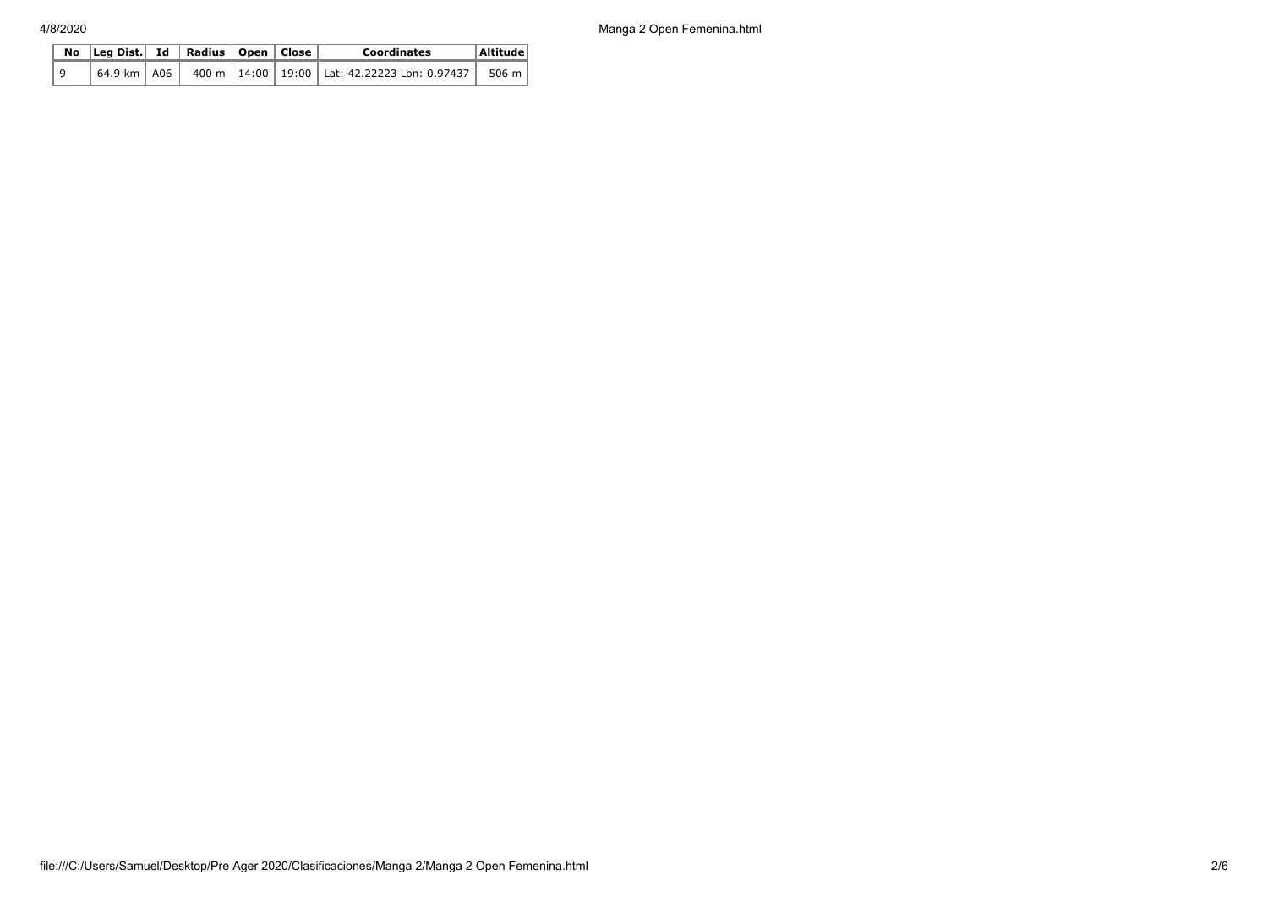4/8/2020 Manga 2 Open Femenina.html

|  | No $\vert$ Leg Dist. Id $\vert$ Radius $\vert$ Open $\vert$ Close |  | <b>Coordinates</b> | Altitude                                                                                                      |       |
|--|-------------------------------------------------------------------|--|--------------------|---------------------------------------------------------------------------------------------------------------|-------|
|  |                                                                   |  |                    | $^{\dagger}$ 64.9 km $\,$ A06 $\,$ $\,$ 400 m $\,$ 14:00 $\,$ 19:00 $\,$ Lat: 42.22223 Lon: 0.97437 $\,$ $\,$ | 506 m |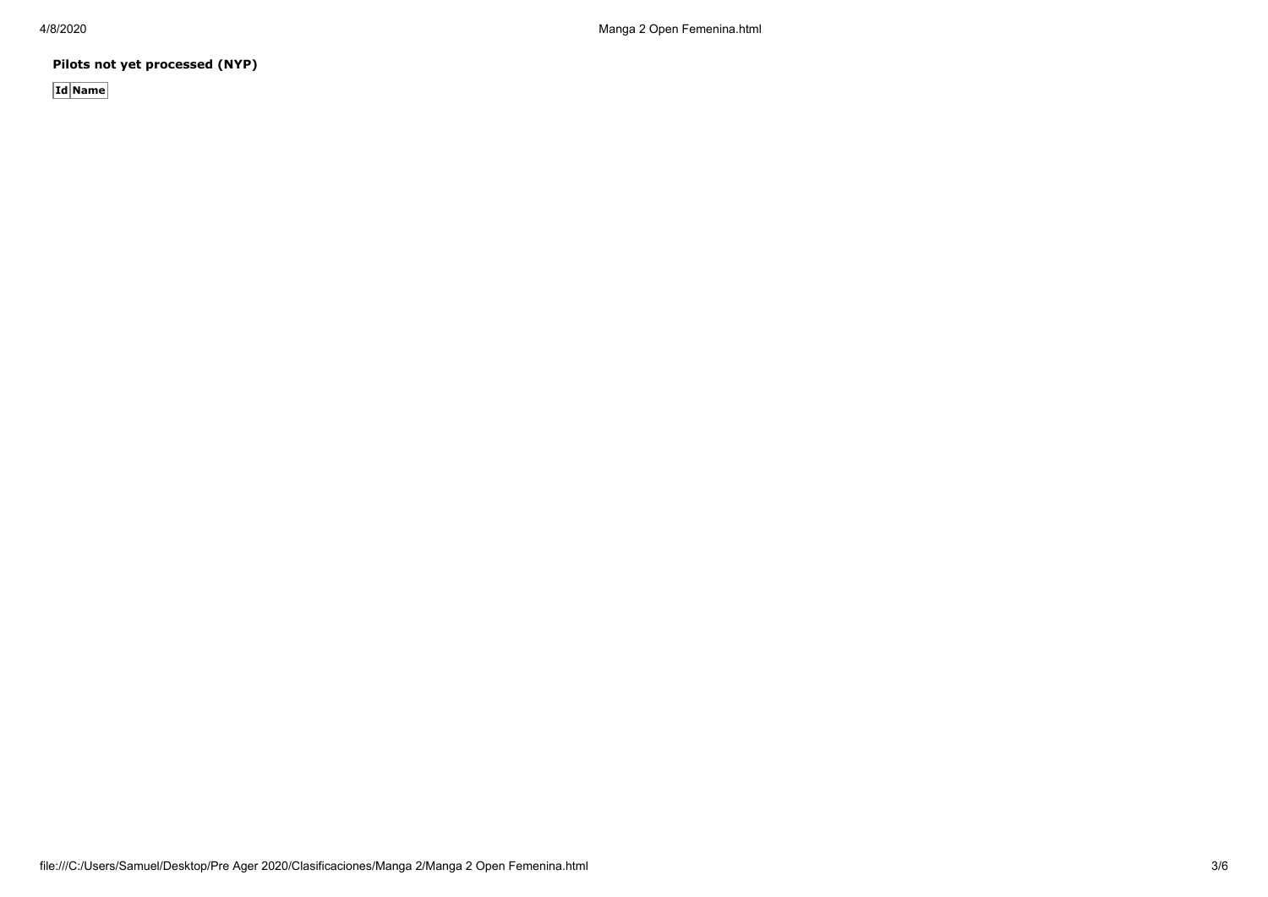**Pilots not yet processed (NYP)**

**Id Name**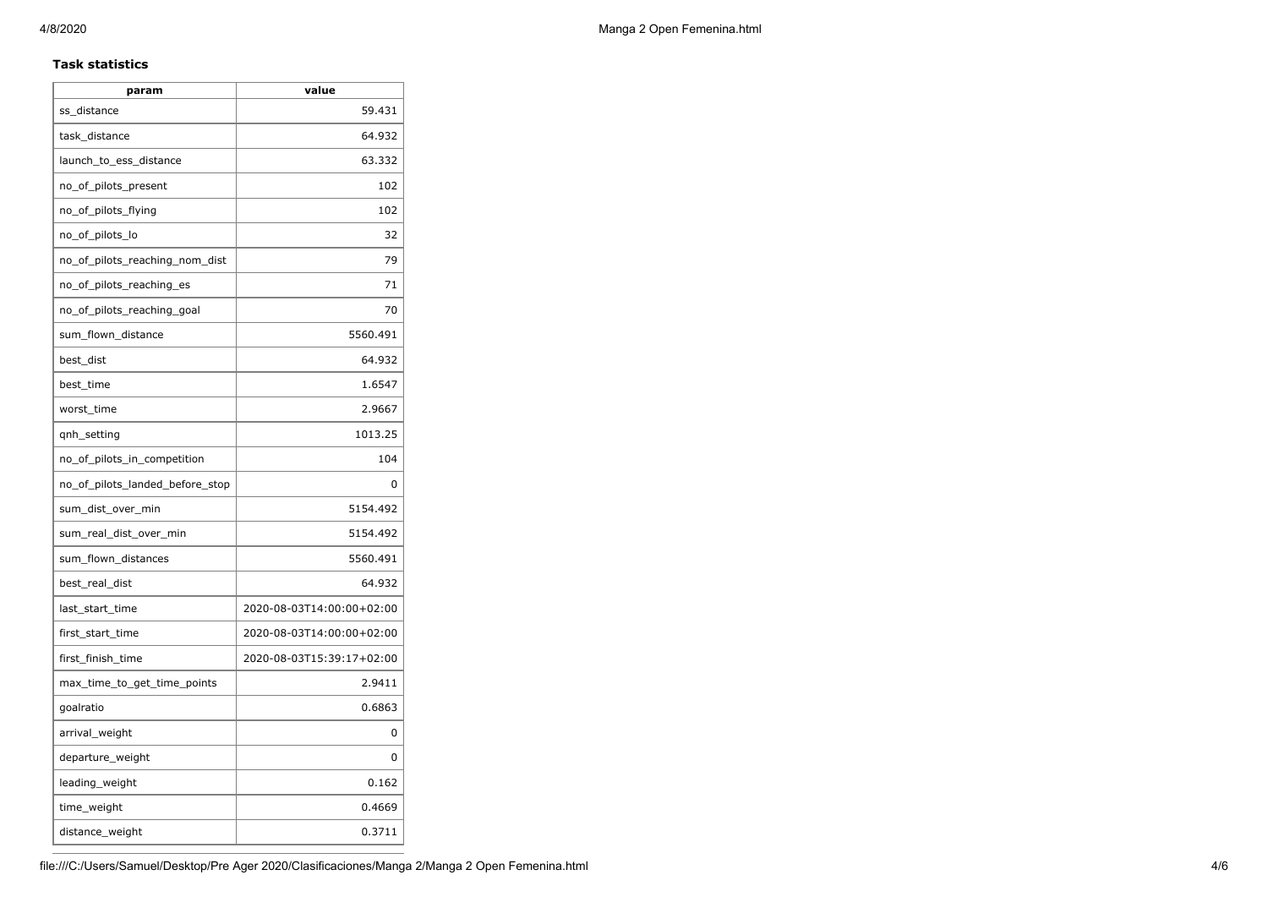### **Task statistics**

| param                           | value                     |
|---------------------------------|---------------------------|
| ss_distance                     | 59.431                    |
| task_distance                   | 64.932                    |
| launch_to_ess_distance          | 63.332                    |
| no_of_pilots_present            | 102                       |
| no_of_pilots_flying             | 102                       |
| no_of_pilots_lo                 | 32                        |
| no_of_pilots_reaching_nom_dist  | 79                        |
| no_of_pilots_reaching_es        | 71                        |
| no_of_pilots_reaching_goal      | 70                        |
| sum_flown_distance              | 5560.491                  |
| best_dist                       | 64.932                    |
| best_time                       | 1.6547                    |
| worst_time                      | 2.9667                    |
| gnh_setting                     | 1013.25                   |
| no_of_pilots_in_competition     | 104                       |
| no_of_pilots_landed_before_stop | 0                         |
| sum_dist_over_min               | 5154.492                  |
| sum_real_dist_over_min          | 5154.492                  |
| sum_flown_distances             | 5560.491                  |
| best_real_dist                  | 64.932                    |
| last_start_time                 | 2020-08-03T14:00:00+02:00 |
| first_start_time                | 2020-08-03T14:00:00+02:00 |
| first_finish_time               | 2020-08-03T15:39:17+02:00 |
| max_time_to_get_time_points     | 2.9411                    |
| goalratio                       | 0.6863                    |
| arrival_weight                  | 0                         |
| departure_weight                | 0                         |
| leading_weight                  | 0.162                     |
| time_weight                     | 0.4669                    |
| distance_weight                 | 0.3711                    |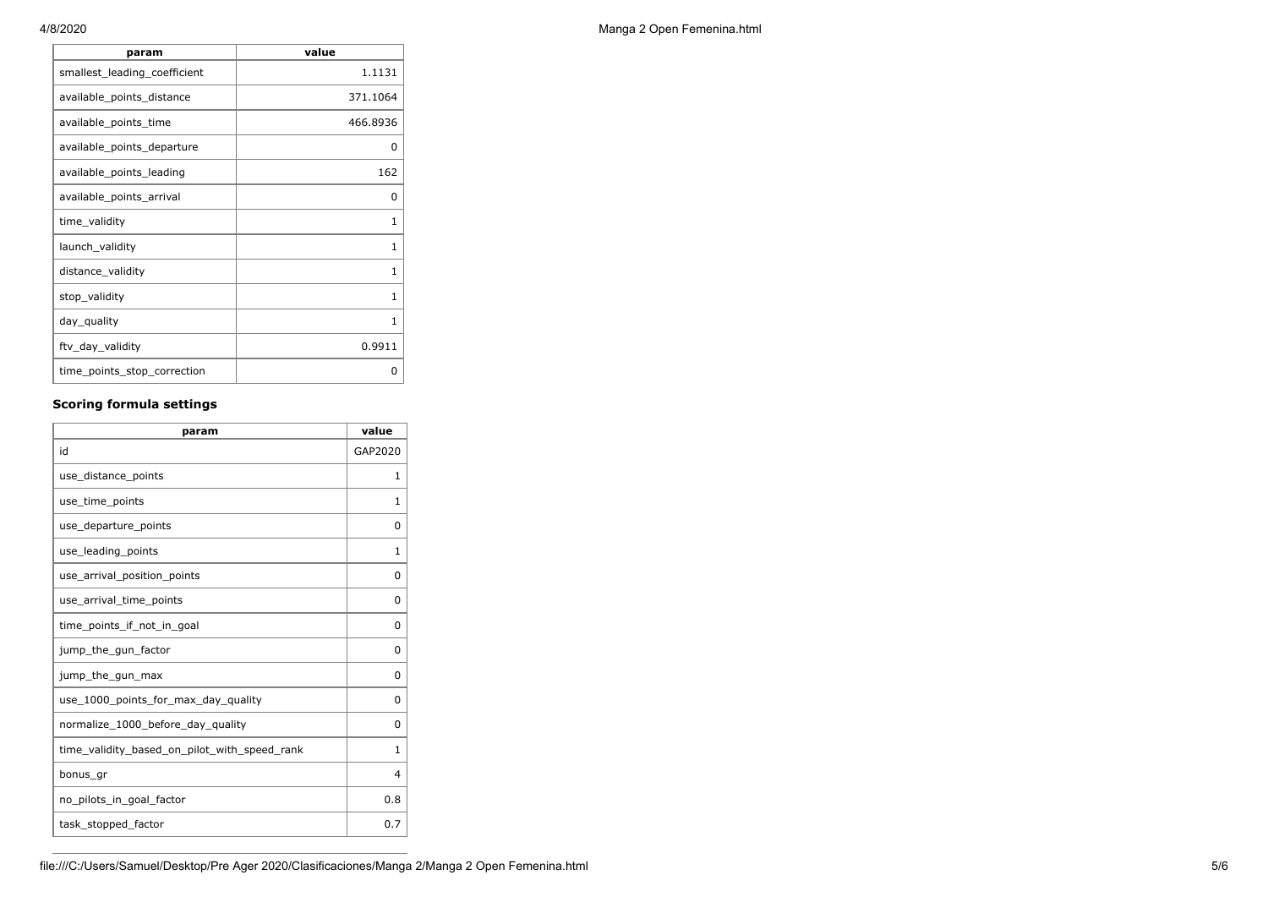| param                        | value        |
|------------------------------|--------------|
| smallest_leading_coefficient | 1.1131       |
| available_points_distance    | 371.1064     |
| available_points_time        | 466.8936     |
| available_points_departure   | 0            |
| available_points_leading     | 162          |
| available_points_arrival     | 0            |
| time_validity                | 1            |
| launch_validity              | $\mathbf{1}$ |
| distance_validity            | $\mathbf{1}$ |
| stop_validity                | 1            |
| day_quality                  | 1            |
| ftv_day_validity             | 0.9911       |
| time_points_stop_correction  | ი            |

## **Scoring formula settings**

| param                                        | value        |
|----------------------------------------------|--------------|
| id                                           | GAP2020      |
| use_distance_points                          | 1            |
| use_time_points                              | 1            |
| use_departure_points                         | 0            |
| use leading points                           | 1            |
| use_arrival_position_points                  | 0            |
| use_arrival_time_points                      | 0            |
| time points if not in goal                   | 0            |
| jump_the_gun_factor                          | 0            |
| jump_the_gun_max                             | 0            |
| use_1000_points_for_max_day_quality          | 0            |
| normalize_1000_before_day_quality            | 0            |
| time_validity_based_on_pilot_with_speed_rank | $\mathbf{1}$ |
| bonus_gr                                     | 4            |
| no_pilots_in_goal_factor                     | 0.8          |
| task_stopped_factor                          | 0.7          |